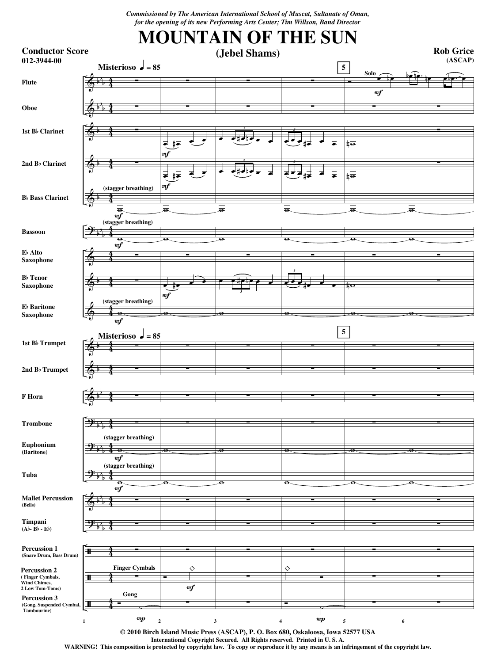*Commissioned by The American International School of Muscat, Sultanate of Oman, for the opening of its new Performing Arts Center; Tim Willson, Band Director*

## **MOUNTAIN OF THE SUN**

| <b>Conductor Score</b><br>012-3944-00 | Misterioso $\rightarrow$ = 85                            |                                           | (Jebel Shams)                           | MOUNTAIN OF THE BUN<br>$\overline{\mathbf{5}}$ |                           | <b>Rob Grice</b><br>(ASCAP) |
|---------------------------------------|----------------------------------------------------------|-------------------------------------------|-----------------------------------------|------------------------------------------------|---------------------------|-----------------------------|
|                                       |                                                          |                                           |                                         |                                                | Solo >                    |                             |
| <b>Flute</b>                          |                                                          |                                           |                                         |                                                |                           |                             |
|                                       |                                                          |                                           |                                         |                                                | m f                       |                             |
|                                       |                                                          |                                           |                                         |                                                |                           |                             |
| Oboe                                  |                                                          |                                           |                                         |                                                |                           |                             |
|                                       |                                                          |                                           |                                         |                                                |                           |                             |
|                                       |                                                          |                                           |                                         |                                                |                           |                             |
| 1st B <sub>b</sub> Clarinet           |                                                          |                                           |                                         |                                                |                           |                             |
|                                       |                                                          | ₹<br>∥₹                                   |                                         |                                                |                           |                             |
| 2nd B <sub>b</sub> Clarinet           |                                                          | $\it mf$                                  |                                         |                                                |                           |                             |
|                                       |                                                          |                                           |                                         |                                                |                           |                             |
|                                       |                                                          |                                           |                                         |                                                |                           |                             |
|                                       |                                                          | $\overline{\phantom{0}}$<br>$\frac{1}{4}$ |                                         |                                                |                           |                             |
|                                       | (stagger breathing)                                      | m f                                       |                                         |                                                |                           |                             |
| <b>B</b> <sub>b</sub> Bass Clarinet   |                                                          |                                           |                                         |                                                |                           |                             |
|                                       | $\bigoplus$                                              | $\bar{a}$                                 | $\overline{\overline{\bullet}}$         |                                                | $\overline{\overline{2}}$ |                             |
|                                       | $\overline{\Theta}$<br>m f                               |                                           |                                         |                                                |                           |                             |
|                                       | (stagger breathing)                                      |                                           |                                         |                                                |                           |                             |
| <b>Bassoon</b>                        | $\mathcal{Y} \}$                                         |                                           |                                         |                                                |                           |                             |
|                                       | $\overline{\bullet}$                                     | A                                         | $\overline{\bullet}$                    | $\overline{\bullet}$                           | ⊖                         | $\bullet$                   |
| $E\flat$ Alto                         | m f                                                      |                                           |                                         |                                                |                           |                             |
| <b>Saxophone</b>                      | A                                                        |                                           |                                         |                                                |                           |                             |
|                                       |                                                          |                                           |                                         |                                                |                           |                             |
| <b>B</b> <sub>b</sub> Tenor           |                                                          |                                           |                                         |                                                |                           |                             |
| Saxophone                             |                                                          |                                           |                                         |                                                | $\oplus$                  |                             |
|                                       |                                                          | m f                                       |                                         |                                                |                           |                             |
|                                       | (stagger breathing)                                      |                                           |                                         |                                                |                           |                             |
| Eb Baritone                           |                                                          | $\bullet$                                 | $\overline{\bullet}$                    |                                                | $\bullet$                 |                             |
| Saxophone                             | $\bigcirc$<br>$\overline{\bullet}$<br>m f                |                                           |                                         | $\bullet$                                      |                           | $\bullet$                   |
|                                       |                                                          |                                           |                                         |                                                |                           |                             |
|                                       | $\overline{\mathbf{5}}$<br>Misterioso $\rightarrow$ = 85 |                                           |                                         |                                                |                           |                             |
| 1st B <sub>b</sub> Trumpet            |                                                          |                                           |                                         |                                                |                           |                             |
|                                       | ٠                                                        |                                           |                                         |                                                |                           |                             |
|                                       |                                                          |                                           |                                         |                                                |                           |                             |
| 2nd B <sub>b</sub> Trumpet            |                                                          |                                           |                                         |                                                |                           |                             |
|                                       |                                                          |                                           |                                         |                                                |                           |                             |
|                                       |                                                          |                                           |                                         |                                                |                           |                             |
| F Horn                                |                                                          |                                           |                                         |                                                |                           |                             |
|                                       |                                                          |                                           |                                         |                                                |                           |                             |
|                                       |                                                          |                                           |                                         |                                                |                           |                             |
| <b>Trombone</b>                       | ᠫᡃ                                                       |                                           |                                         |                                                |                           |                             |
|                                       |                                                          |                                           |                                         |                                                |                           |                             |
|                                       | (stagger breathing)                                      |                                           |                                         |                                                |                           |                             |
| Euphonium<br>(Baritone)               | $9 -$<br>$\overline{\bullet}$                            | $\overline{\bullet}$                      | $\overline{\bullet}$                    | $\bullet$                                      | $\bullet$                 | $\overline{\mathbf{e}}$     |
|                                       | m f                                                      |                                           |                                         |                                                |                           |                             |
|                                       | (stagger breathing)                                      |                                           |                                         |                                                |                           |                             |
| Tuba                                  | . <sub>1</sub> D                                         |                                           |                                         |                                                |                           |                             |
|                                       | $\bullet$                                                | $\bullet$                                 | $\bullet$                               | $\overline{\mathbf{e}}$                        | $\bullet$                 | $\overline{\bullet}$        |
|                                       | m f                                                      |                                           |                                         |                                                |                           |                             |
| <b>Mallet Percussion</b><br>(Bells)   |                                                          |                                           |                                         |                                                |                           |                             |
|                                       |                                                          |                                           |                                         |                                                |                           |                             |
| Timpani                               |                                                          |                                           |                                         |                                                |                           |                             |
| $(A_b - B_b - E_b)$                   | $\mathbf{\mathcal{P}}_{\mathbf{p}_b}$                    |                                           |                                         |                                                |                           |                             |
|                                       |                                                          |                                           |                                         |                                                |                           |                             |
| <b>Percussion 1</b>                   |                                                          |                                           |                                         |                                                |                           |                             |
| (Snare Drum, Bass Drum)               | Ŧ                                                        |                                           |                                         |                                                |                           |                             |
|                                       |                                                          |                                           |                                         |                                                |                           |                             |
| <b>Percussion 2</b>                   | <b>Finger Cymbals</b>                                    | $\Diamond$                                |                                         | ♦                                              |                           |                             |
| (Finger Cymbals,<br>Wind Chimes,      | Ŧ                                                        |                                           |                                         | Ŧ                                              |                           |                             |
| 2 Low Tom-Toms)                       |                                                          | m f                                       |                                         |                                                |                           |                             |
| <b>Percussion 3</b>                   | Gong                                                     |                                           |                                         |                                                |                           |                             |
| (Gong, Suspended Cymbal,              | $\bf H$                                                  |                                           |                                         |                                                |                           |                             |
| Tambourine)                           |                                                          |                                           |                                         |                                                |                           |                             |
|                                       | $\boldsymbol{m}\boldsymbol{p}$<br>1                      | $\mathbf 2$                               | $\mathbf{3}$<br>$\overline{\mathbf{4}}$ | $\mathbf{m}\mathbf{p}$<br>$\sqrt{5}$           | 6                         |                             |

**© 2010 Birch Island Music Press (ASCAP), P. O. Box 680, Oskaloosa, Iowa 52577 USA International Copyright Secured. All Rights reserved. Printed in U. S. A.**

**WARNING! This composition is protected by copyright law. To copy or reproduce it by any means is an infringement of the copyright law.**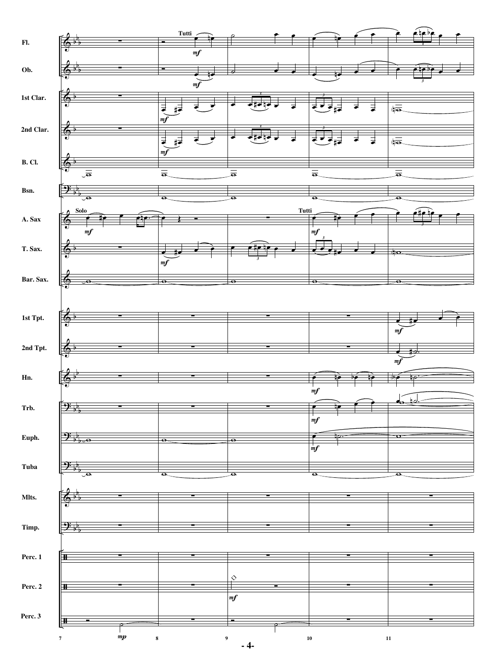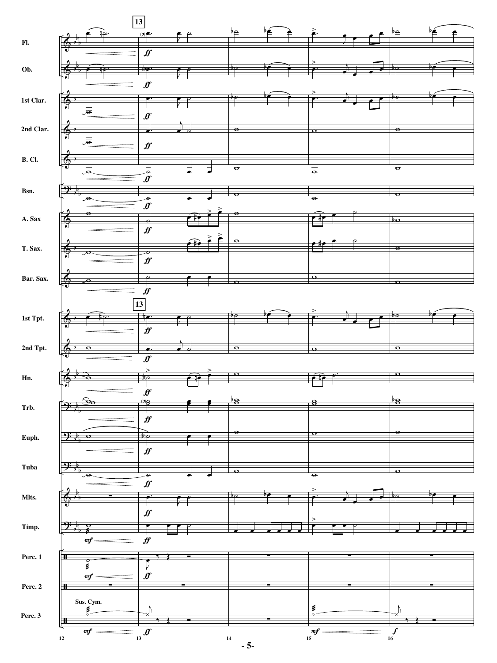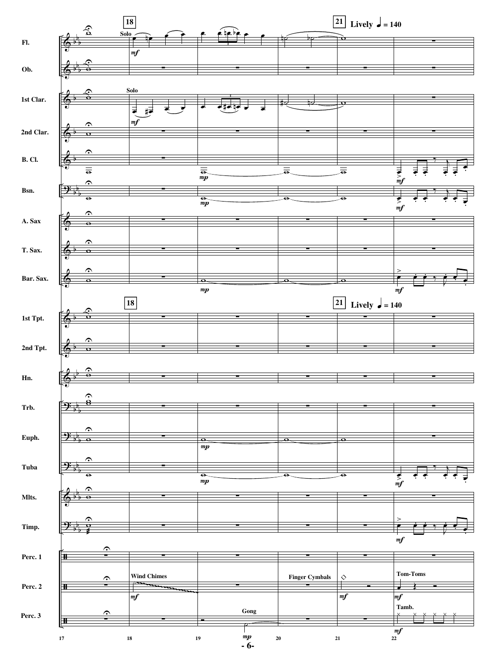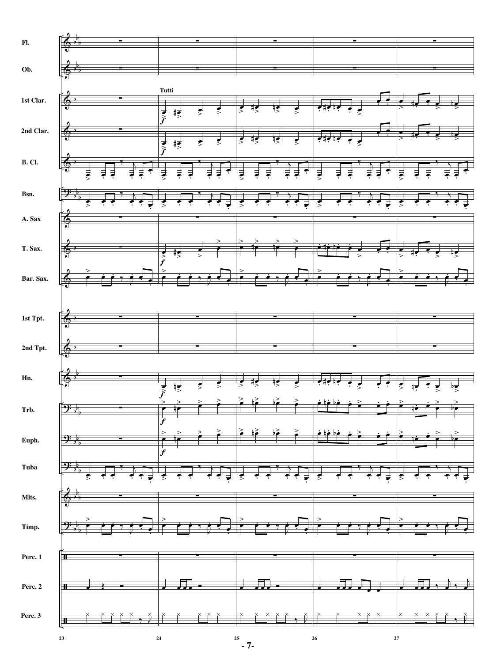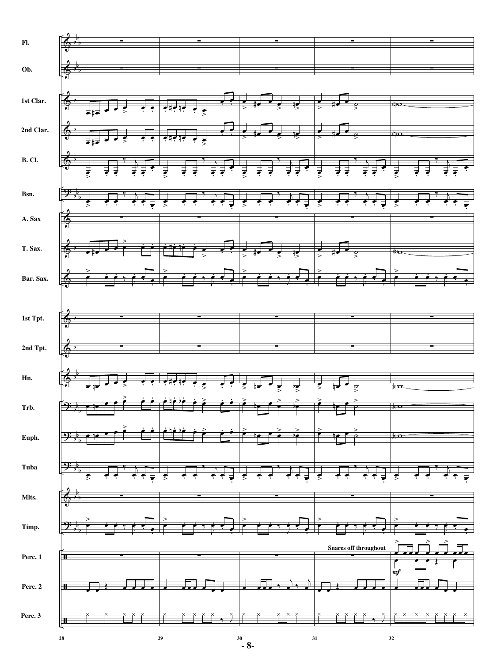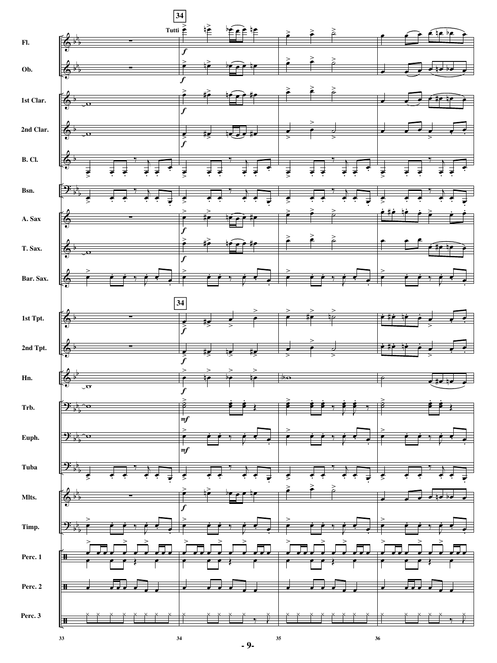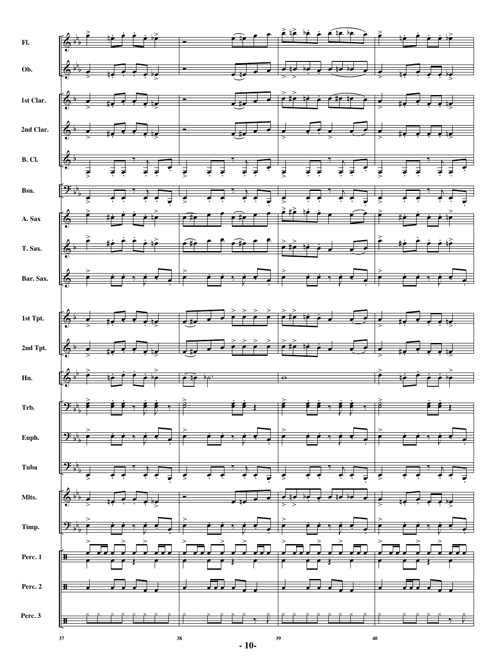

 $-10-$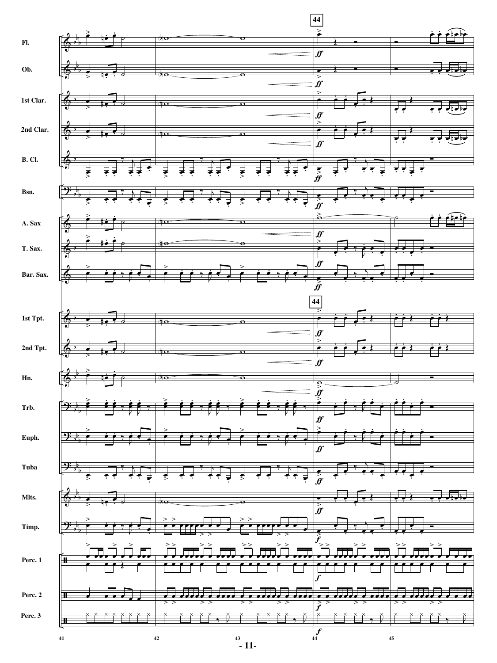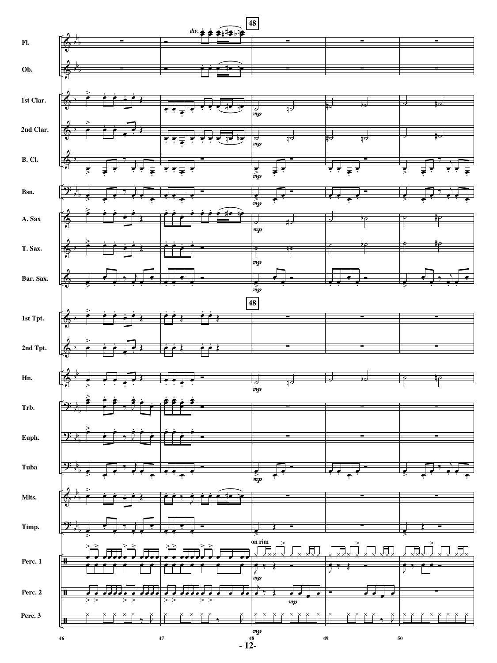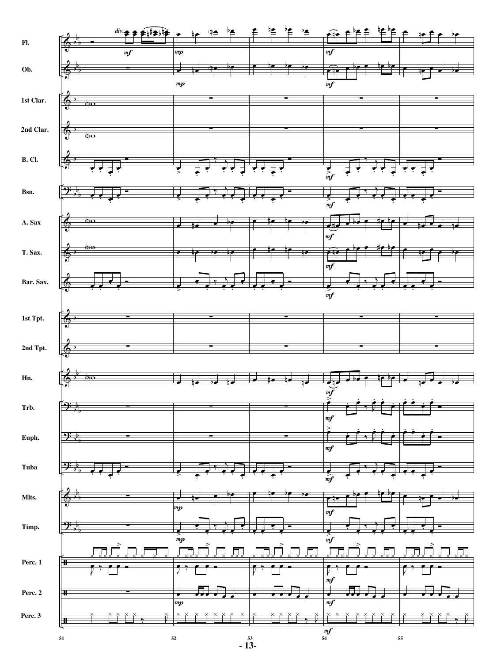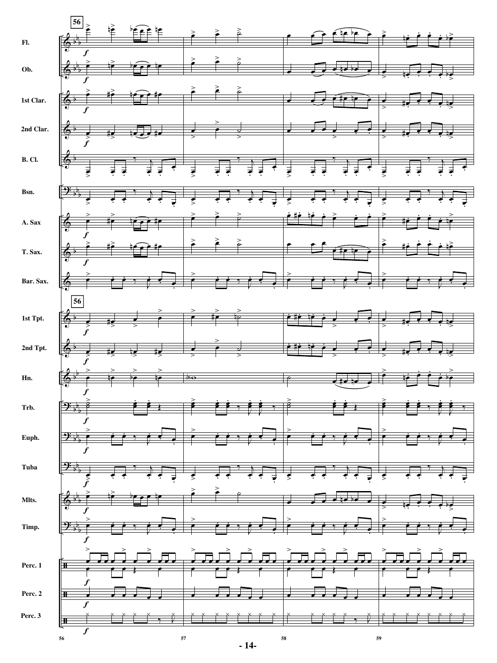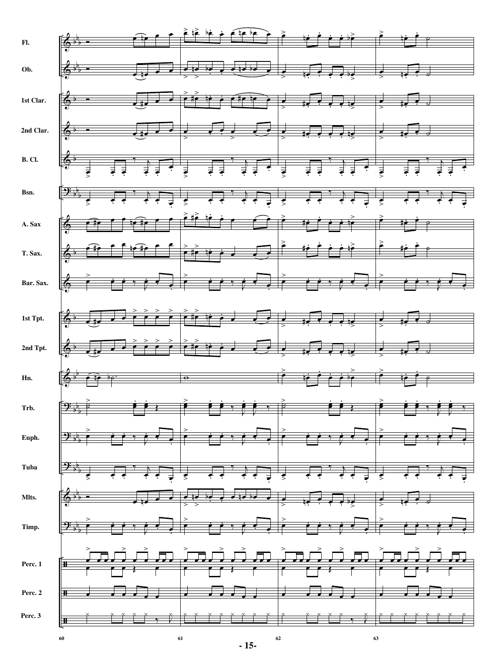

## $-15-$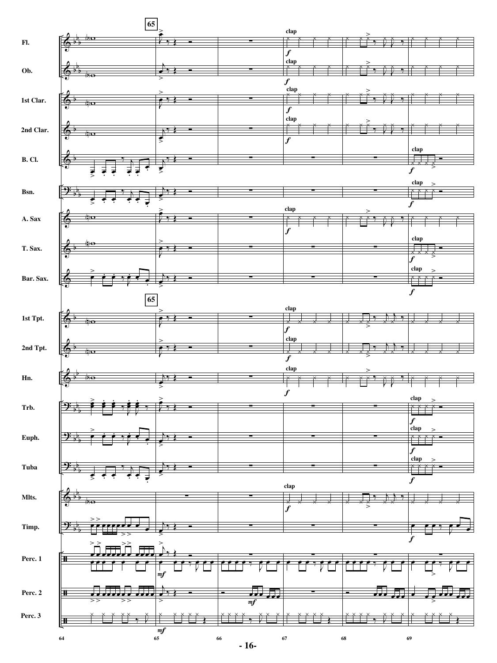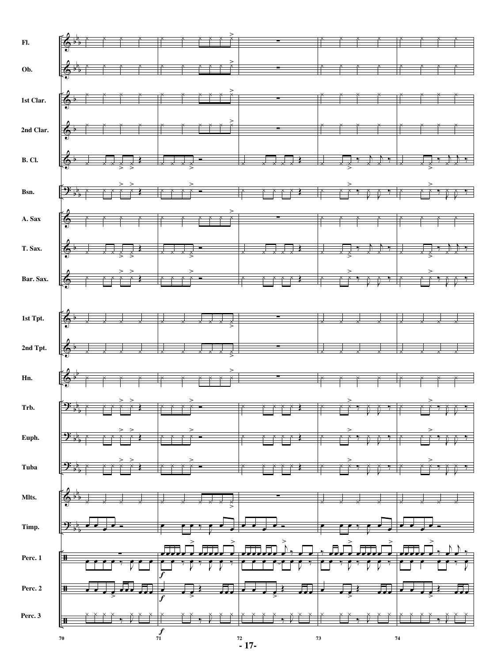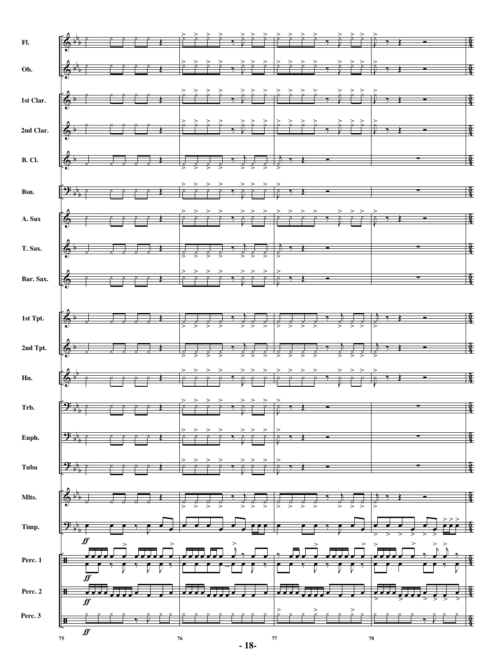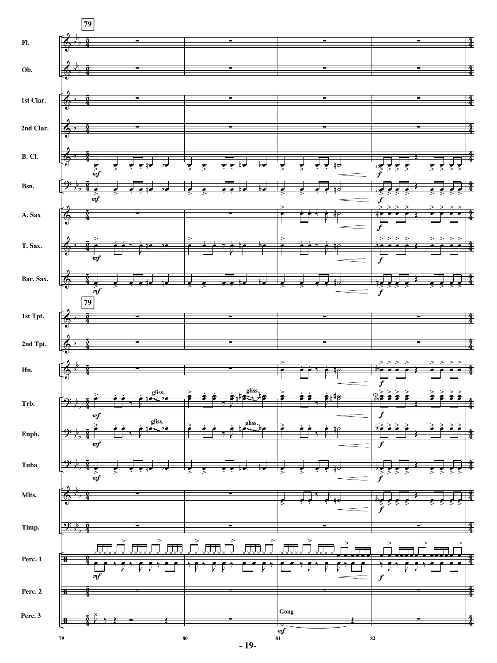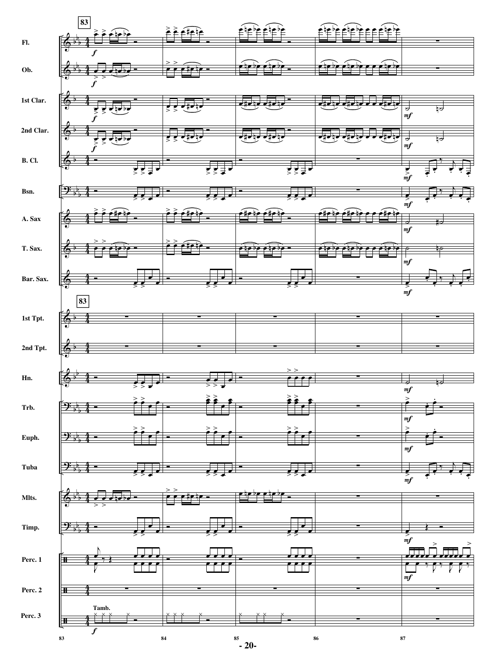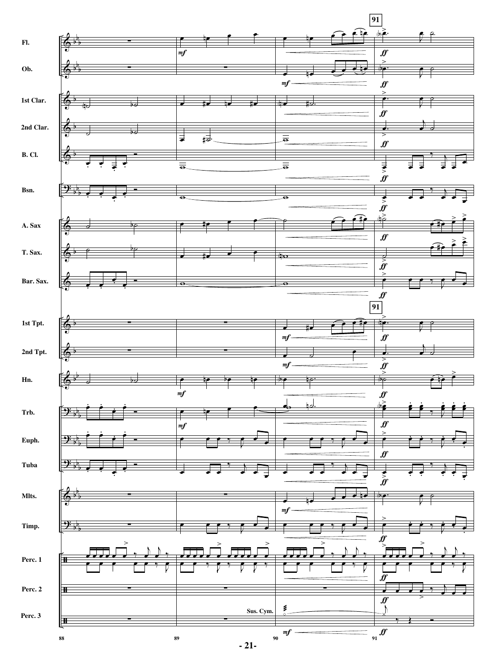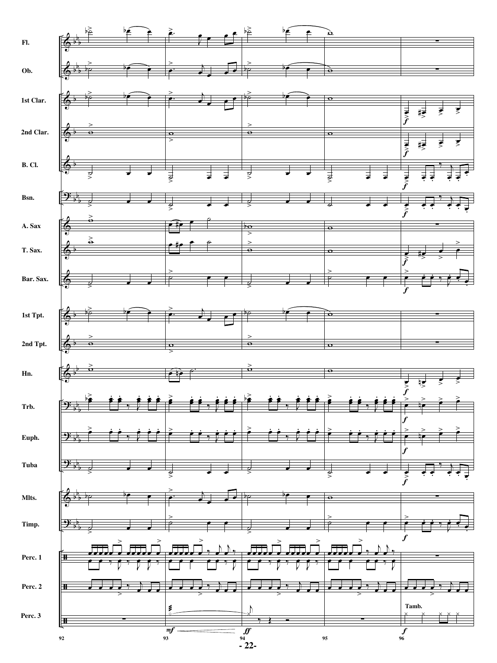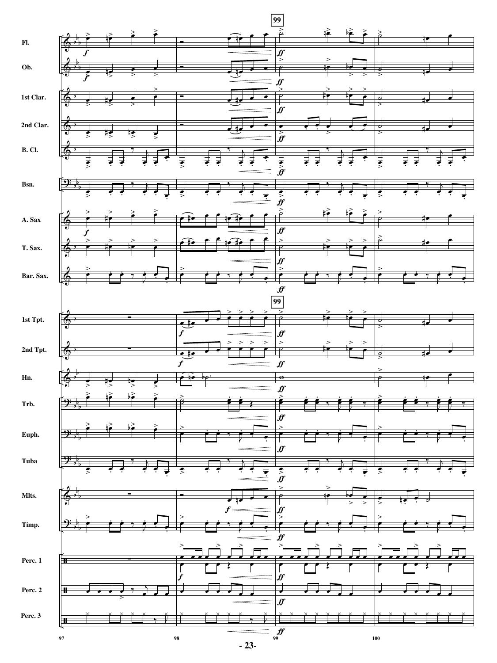